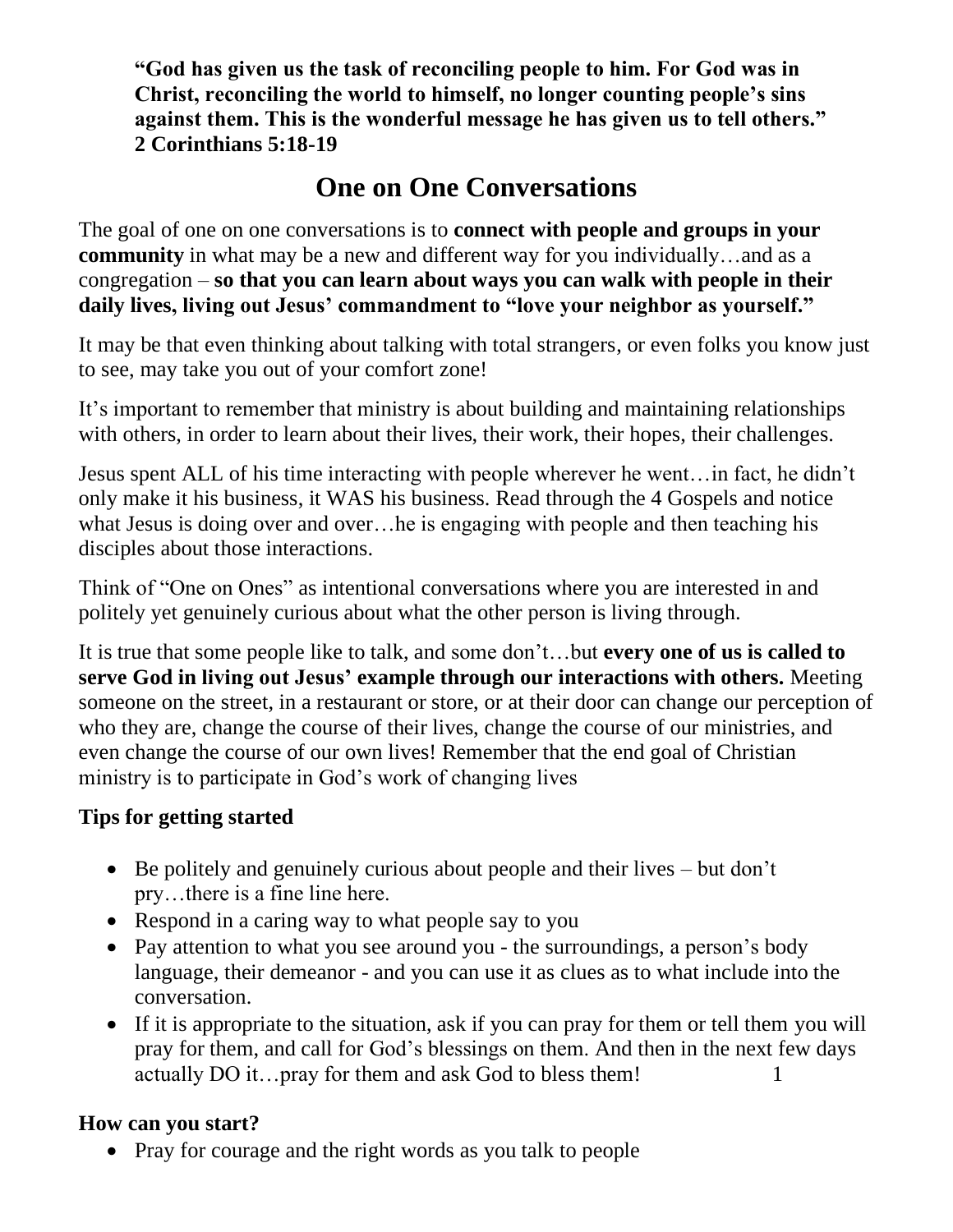**"God has given us the task of reconciling people to him. For God was in Christ, reconciling the world to himself, no longer counting people's sins against them. This is the wonderful message he has given us to tell others." 2 Corinthians 5:18-19**

# **One on One Conversations**

The goal of one on one conversations is to **connect with people and groups in your community** in what may be a new and different way for you individually…and as a congregation – **so that you can learn about ways you can walk with people in their daily lives, living out Jesus' commandment to "love your neighbor as yourself."**

It may be that even thinking about talking with total strangers, or even folks you know just to see, may take you out of your comfort zone!

It's important to remember that ministry is about building and maintaining relationships with others, in order to learn about their lives, their work, their hopes, their challenges.

Jesus spent ALL of his time interacting with people wherever he went…in fact, he didn't only make it his business, it WAS his business. Read through the 4 Gospels and notice what Jesus is doing over and over…he is engaging with people and then teaching his disciples about those interactions.

Think of "One on Ones" as intentional conversations where you are interested in and politely yet genuinely curious about what the other person is living through.

It is true that some people like to talk, and some don't…but **every one of us is called to serve God in living out Jesus' example through our interactions with others.** Meeting someone on the street, in a restaurant or store, or at their door can change our perception of who they are, change the course of their lives, change the course of our ministries, and even change the course of our own lives! Remember that the end goal of Christian ministry is to participate in God's work of changing lives

#### **Tips for getting started**

- Be politely and genuinely curious about people and their lives but don't pry…there is a fine line here.
- Respond in a caring way to what people say to you
- Pay attention to what you see around you the surroundings, a person's body language, their demeanor - and you can use it as clues as to what include into the conversation.
- If it is appropriate to the situation, ask if you can pray for them or tell them you will pray for them, and call for God's blessings on them. And then in the next few days actually DO it...pray for them and ask God to bless them!

#### **How can you start?**

• Pray for courage and the right words as you talk to people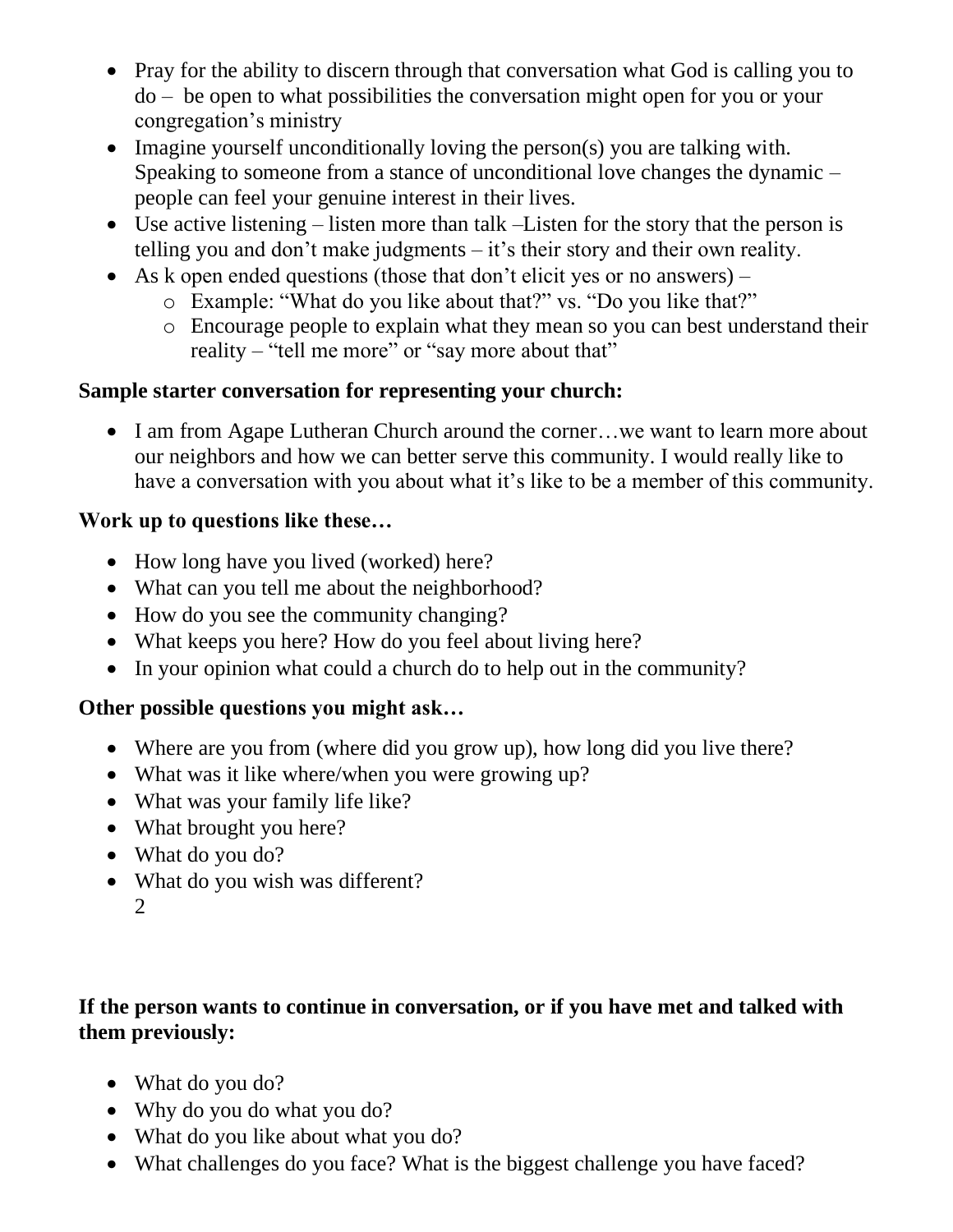- Pray for the ability to discern through that conversation what God is calling you to do – be open to what possibilities the conversation might open for you or your congregation's ministry
- Imagine yourself unconditionally loving the person(s) you are talking with. Speaking to someone from a stance of unconditional love changes the dynamic – people can feel your genuine interest in their lives.
- Use active listening listen more than talk –Listen for the story that the person is telling you and don't make judgments – it's their story and their own reality.
- As k open ended questions (those that don't elicit yes or no answers)
	- o Example: "What do you like about that?" vs. "Do you like that?"
	- o Encourage people to explain what they mean so you can best understand their reality – "tell me more" or "say more about that"

#### **Sample starter conversation for representing your church:**

• I am from Agape Lutheran Church around the corner...we want to learn more about our neighbors and how we can better serve this community. I would really like to have a conversation with you about what it's like to be a member of this community.

#### **Work up to questions like these…**

- How long have you lived (worked) here?
- What can you tell me about the neighborhood?
- How do you see the community changing?
- What keeps you here? How do you feel about living here?
- In your opinion what could a church do to help out in the community?

# **Other possible questions you might ask…**

- Where are you from (where did you grow up), how long did you live there?
- What was it like where/when you were growing up?
- What was your family life like?
- What brought you here?
- What do you do?
- What do you wish was different? 2

#### **If the person wants to continue in conversation, or if you have met and talked with them previously:**

- What do you do?
- Why do you do what you do?
- What do you like about what you do?
- What challenges do you face? What is the biggest challenge you have faced?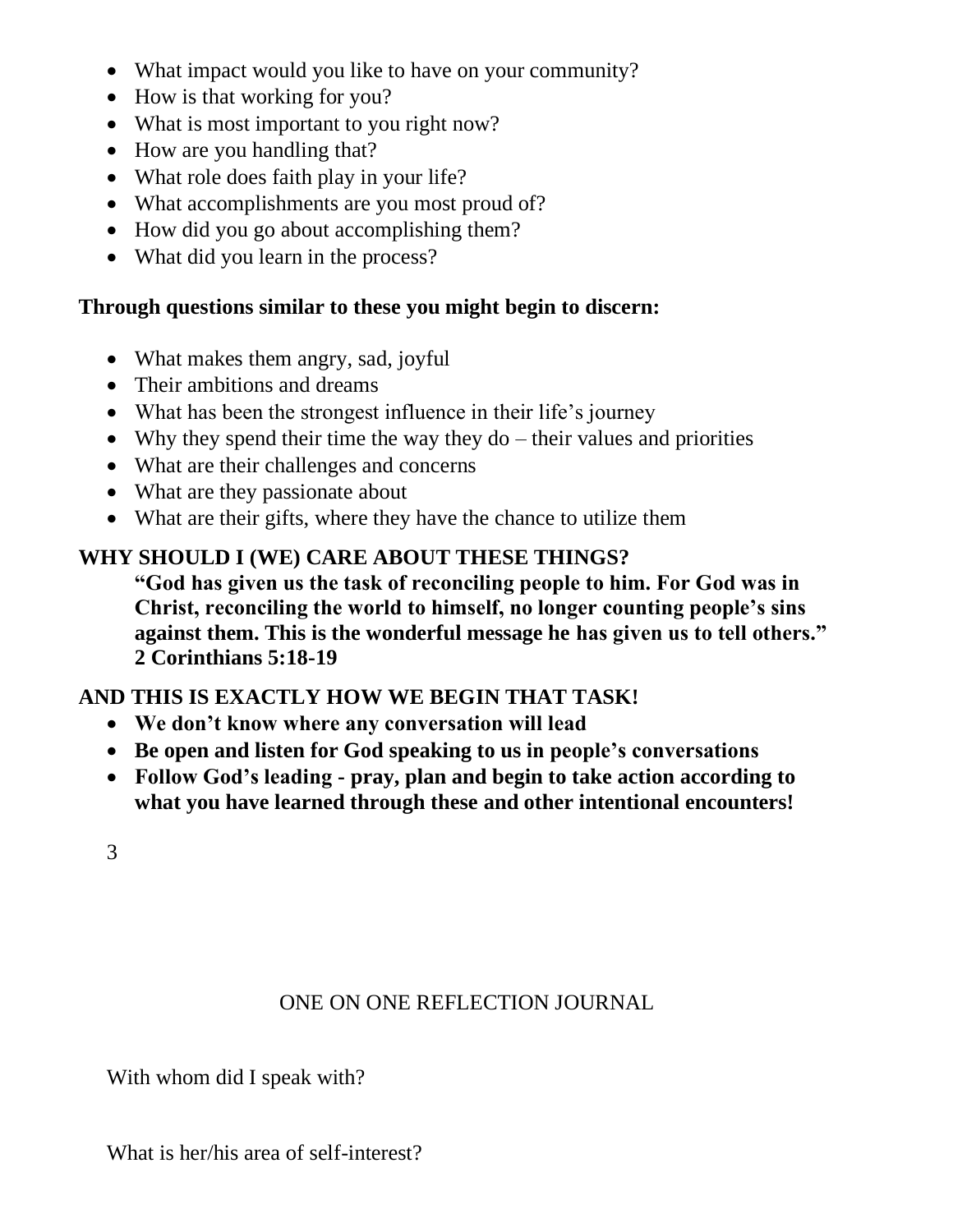- What impact would you like to have on your community?
- How is that working for you?
- What is most important to you right now?
- How are you handling that?
- What role does faith play in your life?
- What accomplishments are you most proud of?
- How did you go about accomplishing them?
- What did you learn in the process?

#### **Through questions similar to these you might begin to discern:**

- What makes them angry, sad, joyful
- Their ambitions and dreams
- What has been the strongest influence in their life's journey
- Why they spend their time the way they  $d_0$  their values and priorities
- What are their challenges and concerns
- What are they passionate about
- What are their gifts, where they have the chance to utilize them

# **WHY SHOULD I (WE) CARE ABOUT THESE THINGS?**

**"God has given us the task of reconciling people to him. For God was in Christ, reconciling the world to himself, no longer counting people's sins against them. This is the wonderful message he has given us to tell others." 2 Corinthians 5:18-19**

# **AND THIS IS EXACTLY HOW WE BEGIN THAT TASK!**

- **We don't know where any conversation will lead**
- **Be open and listen for God speaking to us in people's conversations**
- **Follow God's leading - pray, plan and begin to take action according to what you have learned through these and other intentional encounters!**
- 3

# ONE ON ONE REFLECTION JOURNAL

With whom did I speak with?

What is her/his area of self-interest?